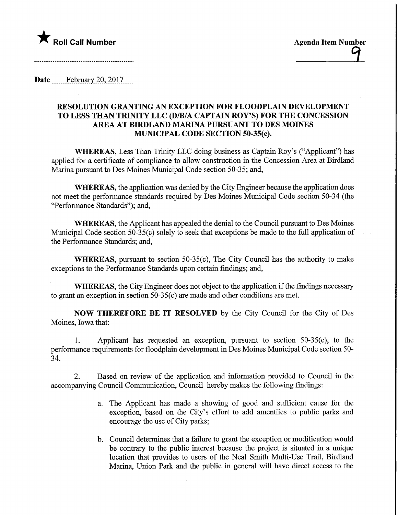

Date February 20, 2017

## RESOLUTION GRANTING AN EXCEPTION FOR FLOODPLAIN DEVELOPMENT TO LESS THAN TRINITY LLC (D/B/A CAPTAIN ROY'S) FOR THE CONCESSION AREA AT BIRDLAND MARINA PURSUANT TO DES MOINES MUNICIPAL CODE SECTION 50-35(c).

WHEREAS, Less Than Trinity LLC doing business as Captain Roy's ("Applicant") has applied for a certificate of compliance to allow construction in the Concession Area at Birdland Marina pursuant to Des Moines Municipal Code section 50-35; and,

WHEREAS, the application was denied by the City Engineer because the application does not meet the performance standards required by Des Moines Municipal Code section 50-34 (the "Performance Standards"); and,

WHEREAS, the Applicant has appealed the denial to the Council pursuant to Des Moines Municipal Code section 50-35(c) solely to seek that exceptions be made to the full application of the Performance Standards; and,

WHEREAS, pursuant to section 50-35(c), The City Council has the authority to make exceptions to the Performance Standards upon certain findings; and,

WHEREAS, the City Engineer does not object to the application if the findings necessary to grant an exception in section  $50-35(c)$  are made and other conditions are met.

NOW THEREFORE BE IT RESOLVED by the City Council for the City of Des Moines, Iowa that:

1. Applicant has requested an exception, pursuant to section 50-35(c), to the performance requirements for floodplain development in Des Moines Municipal Code section 50- 34.

2. Based on review of the application and information provided to Council in the accompanying Council Communication, Council hereby makes the following findings:

- a. The Applicant has made a showing of good and sufficient cause for the exception, based on the City's effort to add amentiies to public parks and encourage the use of City parks;
- b. Council determines that a failure to grant the exception or modification would be contrary to the public interest because the project is situated in a unique location that provides to users of the Neal Smith Multi-Use Trail, Birdland Marina, Union Park and the public in general will have direct access to the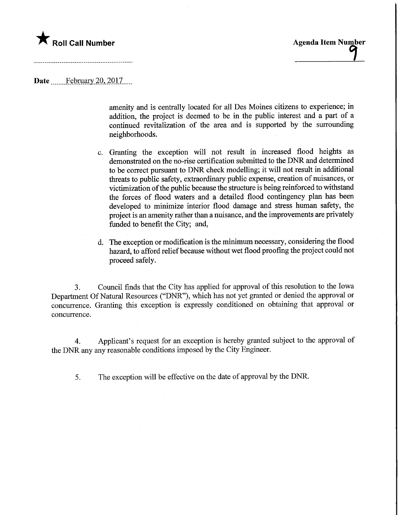## **The Call Number Agents Agenda Item Number** Agenda Item Number

Date ..........February 20, 2017

amenity and is centrally located for all Des Moines citizens to experience; in addition, the project is deemed to be in the public interest and a part of a continued revitalization of the area and is supported by the surrounding neighborhoods.

- c. Granting the exception will not result in increased flood heights as demonstrated on the no-rise certification submitted to the DNR and determined to be correct pursuant to DNR check modelling; it will not result in additional threats to public safety, extraordinary public expense, creation of nuisances, or victimization of the public because the structure is being reinforced to withstand the forces of flood waters and a detailed flood contingency plan has been developed to minimize interior flood damage and stress human safety, the project is an amenity rather than a nuisance, and the improvements are privately funded to benefit the City; and,
- d. The exception or modification is the minimum necessary, considering the flood hazard, to afford relief because without wet flood proofing the project could not proceed safely.

3. Council finds that the City has applied for approval of this resolution to the Iowa Department Of Natural Resources ("DNR"), which has not yet granted or denied the approval or concurrence. Granting this exception is expressly conditioned on obtaining that approval or concurrence.

4. Applicant's request for an exception is hereby granted subject to the approval of the DNR any any reasonable conditions imposed by the City Engineer.

5. The exception will be effective on the date of approval by the DNR.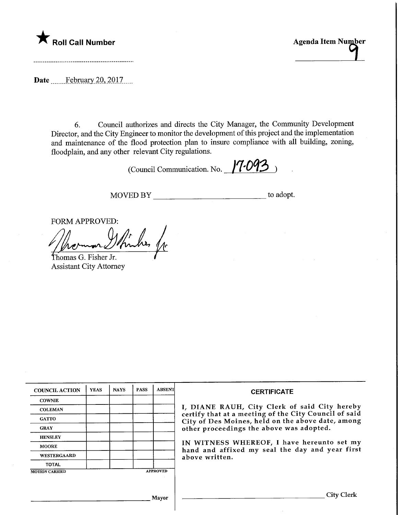## **The Call Number Agents Agenda Item Number** Agenda Item Number

Date February 20, 2017.....

6. Council authorizes and directs the City Manager, the Community Development Director, and the City Engineer to monitor the development of this project and the implementation and maintenance of the flood protection plan to insure compliance with all building, zoning, floodplain, and any other relevant City regulations.

(Council Communication. No.  $17.093$ )

MOVED BY \_\_\_\_\_\_\_\_\_\_\_\_\_\_\_\_\_\_\_\_\_\_\_\_\_\_\_\_\_\_\_\_\_ to adopt.

FORM APPROVED:

Whiches fr

thomas G. Fisher Jr. Assistant City Attorney

| <b>COUNCIL ACTION</b>                    | <b>YEAS</b> | <b>NAYS</b> | <b>PASS</b> | <b>ABSENT</b> | <b>CERTIFICATE</b>                                                                                                                                                                                      |  |  |
|------------------------------------------|-------------|-------------|-------------|---------------|---------------------------------------------------------------------------------------------------------------------------------------------------------------------------------------------------------|--|--|
| <b>COWNIE</b>                            |             |             |             |               | I, DIANE RAUH, City Clerk of said City hereby<br>certify that at a meeting of the City Council of said<br>City of Des Moines, held on the above date, among<br>other proceedings the above was adopted. |  |  |
| <b>COLEMAN</b>                           |             |             |             |               |                                                                                                                                                                                                         |  |  |
| <b>GATTO</b>                             |             |             |             |               |                                                                                                                                                                                                         |  |  |
| <b>GRAY</b>                              |             |             |             |               |                                                                                                                                                                                                         |  |  |
| <b>HENSLEY</b>                           |             |             |             |               |                                                                                                                                                                                                         |  |  |
| <b>MOORE</b>                             |             |             |             |               | IN WITNESS WHEREOF, I have hereunto set my<br>hand and affixed my seal the day and year first<br>above written.                                                                                         |  |  |
| <b>WESTERGAARD</b>                       |             |             |             |               |                                                                                                                                                                                                         |  |  |
| <b>TOTAL</b>                             |             |             |             |               |                                                                                                                                                                                                         |  |  |
| <b>APPROVED</b><br><b>MOTION CARRIED</b> |             |             |             |               |                                                                                                                                                                                                         |  |  |
|                                          |             |             |             |               |                                                                                                                                                                                                         |  |  |
|                                          |             |             |             | Mayor         | City Clerk                                                                                                                                                                                              |  |  |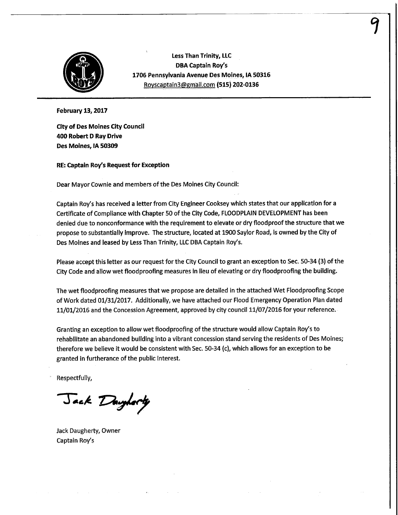

Less Than Trinity, LLC DBA Captain Roy's 1706 Pennsylvania Avenue Des Moines, IA 50316 Royscaptain3@gmail.com (515) 202-0136

February 13,2017

City of Des Moines City Council 400 Robert D Ray Drive Des Moines, IA 50309

RE: Captain Roy's Request for Exception

Dear Mayor Cownie and members of the Des Moines City Council:

Captain Roy's has received a letter from City Engineer Cooksey which states that our application for a Certificate of Compliance with Chapter 50 of the City Code, FLOODPLAIN DEVELOPMENT has been denied due to nonconformance with the requirement to elevate or dry floodproofthe structure that we propose to substantially improve. The structure, located at 1900 Saylor Road, is owned by the City of Des Moines and leased by Less Than Trinity, LLC DBA Captain Roy's.

Please accept this letter as our request for the City Council to grant an exception to Sec. 50-34 (3) of the City Code and allow wet floodproofing measures in lieu of elevating or dry floodproofing the building.

The wet floodproofing measures that we propose are detailed in the attached Wet Floodprooflng Scope of Work dated 01/31/2017. Additionally, we have attached our Flood Emergency Operation Plan dated 11/01/2016 and the Concession Agreement, approved by city council 11/07/2016 for your reference.

Granting an exception to allow wet floodproofing of the structure would allow Captain Roy's to rehabilitate an abandoned building into a vibrant concession stand serving the residents of Des Moines; therefore we believe it would be consistent with Sec. 50-34 (c), which allows for an exception to be granted in furtherance of the public interest.

Respectfully,

Jack Daylorty

Jack Daugherty, Owner Captain Roy's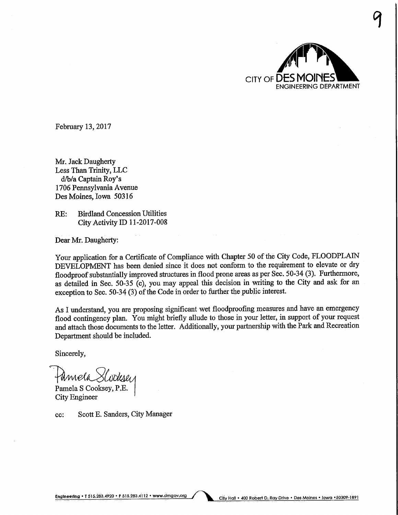

 $\mathbf{T}$ 

February 13,2017

Mr. Jack Daugherty Less Than Trinity, LLC d/b/a. Captain Roy's 1706 Pennsylvania Avenue Des Moines, Iowa 50316

RE: Birdland Concession Utilities City Activity ID 11-2017-008

Dear Mr. Daugherty:

Your application for a Certificate of Compliance with Chapter 50 of the City Code, FLOODPLAW DEVELOPMENT has been denied since it does not conform to the requirement to elevate or dry floodproof substantially improved structures in flood prone areas as per See. 50-34 (3). Furthermore, as detailed in See. 50-35 (c), you may appeal this decision in writing to the City and ask for an exception to Sec. 50-34 (3) of the Code in order to further the public interest.

As I understand, you are proposing significant wet floodproofing measures and have an emergency flood contingency plan. You might briefly allude to those in your letter, in support of your request and attach those documents to the letter. Additionally, your partnership with the Park and Recreation Department should be included.

Sincerely,

Famela Slodeser

Pamela S Cooksey, P.E. City Engineer

ec: Scott E. Sanders, City Manager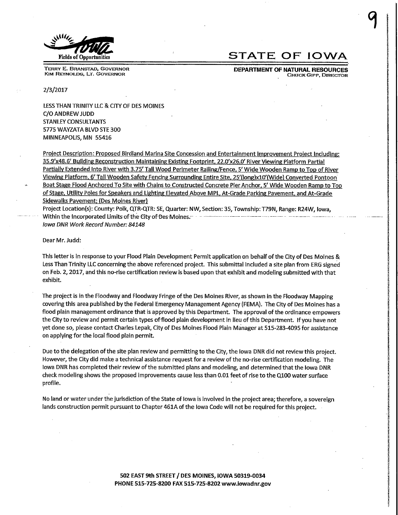

TERRY E. BRANSTAD, GOVERNOR KIM REYNOLDS, LT. GOVERNOR

## Fields of Opportunities  $\begin{array}{cc} \text{STATE OF IOWA} \end{array}$

y

DEPARTMENT OF NATURAL RESOURCES **CHUCK GIPP, DIRECTOR** 

2/3/2017

LESS THAN TRINITY LLC & CITY OF DES MOINES C/0 ANDREW JUDD STANLEY CONSULTANTS 5775 WAYZATA BLVD STE 300 MINNEAPOLIS, MN 55416

Project Description: Proposed Birdland Marina Site Concession and Entertainment Improvement Project Including: 35.9'x48.6' Building Reconstruction Maintaining Existing Footprint, 22.0'x26.0' River Viewing Platform Partial Partially Extended Into River with 3.75' Tall Wood Perimeter Railing/Fence, 5' Wide Wooden Ramp to Top of River Viewing Platform, 6' Tall Wooden Safety Fencing Surrounding Entire Site, 25'(long)x10'(Wide) Converted Pontoon Boat Stage Flood Anchored To Site with Chains to Constructed Concrete Pier Anchor, 5' Wide Wooden Ramp to Top of Stage, Utility Poles for Speakers and Lighting Elevated Above MPL, At-Grade Parking Pavement, and At-Grade Sidewalks Pavement; (Des Moines River)

Project Location(s): County: Polk, QTR-QTR: SE, Quarter: NW, Section: 35, Township: T79N, Range: R24W, Iowa, Within the Incorporated Limits of the City of Des Moines. Iowa DNR Work Record Number: 84148

Dear Mr. Judd:

This letter is in response to your Flood Plain Development Permit application on behalf of the City of Des Moines & Less Than Trinity LLC concerning the above referenced project. This submittal included a site plan from ERG signed on Feb.2,2017, and this no-rise certification review is based upon that exhibit and modeling submitted with that exhibit.

The project is in the Floodway and Floodway Fringe of the Des Moines River, as shown in the Floodway Mapping covering this area published by the Federal Emergency Management Agency (FEMA). The City of Des Moines has a flood plain management ordinance that is approved by this Department. The approval of the ordinance empowers the City to review and permit certain types of'flood plain development in lieu of this Department. If you have not yet done so, please contact Charles Lepak, City of Des Moines Flood Plain Manager at 515-283-4095 for assistance on applying for the local flood plain permit.

Due to the delegation of the site plan review and permitting to the City, the Iowa DNR did not review this project. However, the City did make a technical assistance request for a review of the no-rise certification modeling. The Iowa DNR has completed their review of the submitted plans and modeling, and determined that the Iowa DNR check modeling shows the proposed improvements cause less than 0.01 feet of rise to the Q100 water surface profile.

No land or water under the jurisdiction of the State of Iowa is involved in the project area; therefore, a sovereign lands construction permit pursuant to Chapter 461A of the Iowa Code will not be required for this project.

> 502 EAST 9th STREET / DES MOINES, IOWA 50319-0034 PHONE 515-725-8200 FAX 515-725-8202 wyvw.iowadnr.gov